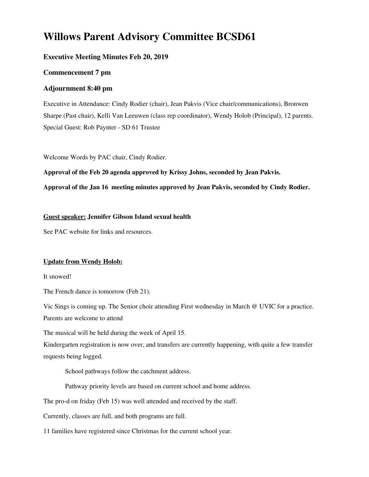# **Willows Parent Advisory Committee BCSD61**

# **Executive Meeting Minutes Feb 20, 2019**

# **Commencement 7 pm**

# **Adjournment 8:40 pm**

Executive in Attendance: Cindy Rodier (chair), Jean Pakvis (Vice chair/communications), Bronwen Sharpe (Past chair), Kelli Van Leeuwen (class rep coordinator), Wendy Holob (Principal), 12 parents. Special Guest: Rob Paynter - SD 61 Trustee

Welcome Words by PAC chair, Cindy Rodier.

**Approval of the Feb 20 agenda approved by Krissy Johns, seconded by Jean Pakvis.**

**Approval of the Jan 16 meeting minutes approved by Jean Pakvis, seconded by Cindy Rodier.**

### **Guest speaker: Jennifer Gibson Island sexual health**

See PAC website for links and resources.

### **Update from Wendy Holob:**

It snowed!

The French dance is tomorrow (Feb 21).

Vic Sings is coming up. The Senior choir attending First wednesday in March @ UVIC for a practice. Parents are welcome to attend

The musical will be held during the week of April 15.

Kindergarten registration is now over, and transfers are currently happening, with quite a few transfer requests being logged.

School pathways follow the catchment address.

Pathway priority levels are based on current school and home address.

The pro-d on friday (Feb 15) was well attended and received by the staff.

Currently, classes are full, and both programs are full.

11 families have registered since Christmas for the current school year.